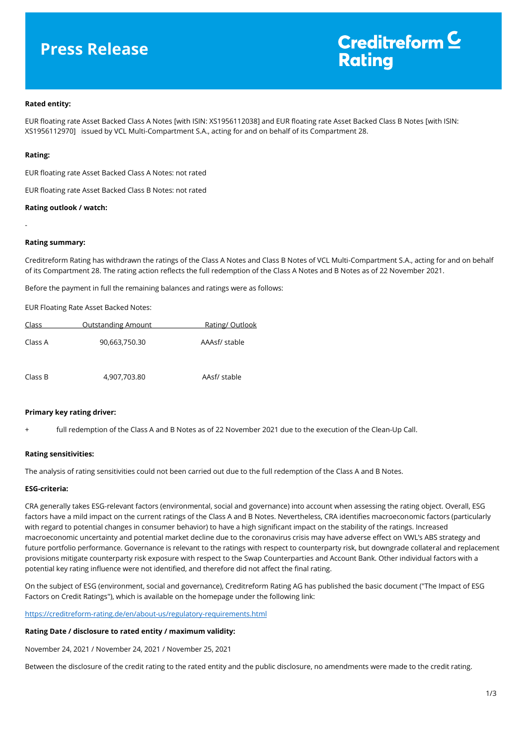# **Press Release**

# Creditreform<sup>C</sup> **Rating**

# **Rated entity:**

EUR floating rate Asset Backed Class A Notes [with ISIN: XS1956112038] and EUR floating rate Asset Backed Class B Notes [with ISIN: XS1956112970] issued by VCL Multi-Compartment S.A., acting for and on behalf of its Compartment 28.

#### **Rating:**

-

EUR floating rate Asset Backed Class A Notes: not rated

EUR floating rate Asset Backed Class B Notes: not rated

#### **Rating outlook / watch:**

#### **Rating summary:**

Creditreform Rating has withdrawn the ratings of the Class A Notes and Class B Notes of VCL Multi-Compartment S.A., acting for and on behalf of its Compartment 28. The rating action reflects the full redemption of the Class A Notes and B Notes as of 22 November 2021.

Before the payment in full the remaining balances and ratings were as follows:

EUR Floating Rate Asset Backed Notes:

| Class   | <b>Outstanding Amount</b> | Rating/Outlook |
|---------|---------------------------|----------------|
| Class A | 90,663,750.30             | AAAsf/ stable  |
| Class B | 4,907,703.80              | AAsf/ stable   |

#### **Primary key rating driver:**

full redemption of the Class A and B Notes as of 22 November 2021 due to the execution of the Clean-Up Call.

#### **Rating sensitivities:**

The analysis of rating sensitivities could not been carried out due to the full redemption of the Class A and B Notes.

### **ESG-criteria:**

CRA generally takes ESG-relevant factors (environmental, social and governance) into account when assessing the rating object. Overall, ESG factors have a mild impact on the current ratings of the Class A and B Notes. Nevertheless, CRA identifies macroeconomic factors (particularly with regard to potential changes in consumer behavior) to have a high significant impact on the stability of the ratings. Increased macroeconomic uncertainty and potential market decline due to the coronavirus crisis may have adverse effect on VWL's ABS strategy and future portfolio performance. Governance is relevant to the ratings with respect to counterparty risk, but downgrade collateral and replacement provisions mitigate counterparty risk exposure with respect to the Swap Counterparties and Account Bank. Other individual factors with a potential key rating influence were not identified, and therefore did not affect the final rating.

On the subject of ESG (environment, social and governance), Creditreform Rating AG has published the basic document ("The Impact of ESG Factors on Credit Ratings"), which is available on the homepage under the following link:

<https://creditreform-rating.de/en/about-us/regulatory-requirements.html>

#### **Rating Date / disclosure to rated entity / maximum validity:**

November 24, 2021 / November 24, 2021 / November 25, 2021

Between the disclosure of the credit rating to the rated entity and the public disclosure, no amendments were made to the credit rating.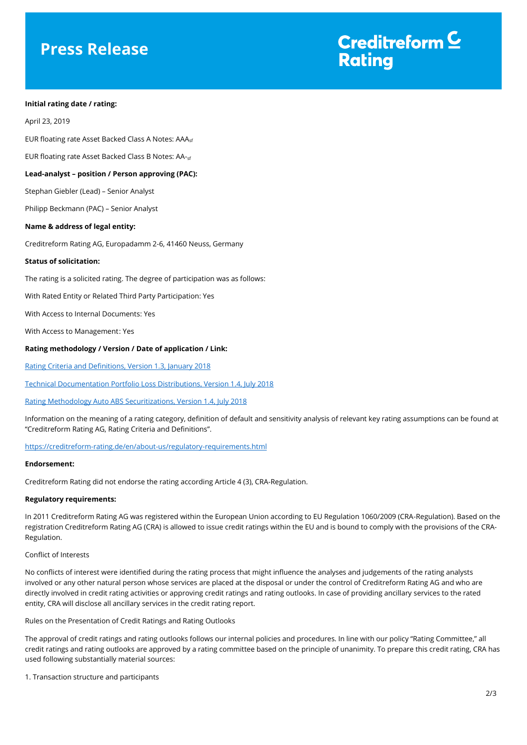# **Press Release**



### **Initial rating date / rating:**

April 23, 2019

EUR floating rate Asset Backed Class A Notes: AAA<sub>sf</sub>

EUR floating rate Asset Backed Class B Notes: AA-sf

### **Lead-analyst – position / Person approving (PAC):**

Stephan Giebler (Lead) – Senior Analyst

Philipp Beckmann (PAC) – Senior Analyst

### **Name & address of legal entity:**

Creditreform Rating AG, Europadamm 2-6, 41460 Neuss, Germany

#### **Status of solicitation:**

The rating is a solicited rating. The degree of participation was as follows:

With Rated Entity or Related Third Party Participation: Yes

With Access to Internal Documents: Yes

With Access to Management: Yes

#### **Rating methodology / Version / Date of application / Link:**

[Rating Criteria and Definitions, Version 1.3, January 2018](https://creditreform-rating.de/en/about-us/regulatory-requirements.html?file=files/content/downloads/Externes%20Rating/Regulatorische%20Anforderungen/EN/Ratingmethodiken%20EN/CRAG%20Rating%20Criteria%20and%20Definitions.pdf)

[Technical Documentation Portfolio Loss Distributions, Version 1.4, July 2018](https://creditreform-rating.de/en/about-us/regulatory-requirements.html?file=files/content/downloads/Externes%20Rating/Regulatorische%20Anforderungen/EN/Ratingmethodiken%20EN/Technical%20Documentation%20Portfolio%20Loss%20Distributions.pdf)

#### [Rating Methodology Auto ABS Securitizations, Version 1.4, July 2018](https://creditreform-rating.de/en/about-us/regulatory-requirements.html?file=files/content/downloads/Externes%20Rating/Regulatorische%20Anforderungen/EN/Ratingmethodiken%20EN/Rating%20Methodology%20Auto%20ABS%20Securitizations.pdf)

Information on the meaning of a rating category, definition of default and sensitivity analysis of relevant key rating assumptions can be found at "Creditreform Rating AG, Rating Criteria and Definitions".

[https://creditreform-rating.de/en/about-us/regulatory-requirements.html](https://www.creditreform-rating.de/en/about-us/regulatory-requirements.html)

### **Endorsement:**

Creditreform Rating did not endorse the rating according Article 4 (3), CRA-Regulation.

### **Regulatory requirements:**

In 2011 Creditreform Rating AG was registered within the European Union according to EU Regulation 1060/2009 (CRA-Regulation). Based on the registration Creditreform Rating AG (CRA) is allowed to issue credit ratings within the EU and is bound to comply with the provisions of the CRA-Regulation.

# Conflict of Interests

No conflicts of interest were identified during the rating process that might influence the analyses and judgements of the rating analysts involved or any other natural person whose services are placed at the disposal or under the control of Creditreform Rating AG and who are directly involved in credit rating activities or approving credit ratings and rating outlooks. In case of providing ancillary services to the rated entity, CRA will disclose all ancillary services in the credit rating report.

Rules on the Presentation of Credit Ratings and Rating Outlooks

The approval of credit ratings and rating outlooks follows our internal policies and procedures. In line with our policy "Rating Committee," all credit ratings and rating outlooks are approved by a rating committee based on the principle of unanimity. To prepare this credit rating, CRA has used following substantially material sources:

1. Transaction structure and participants